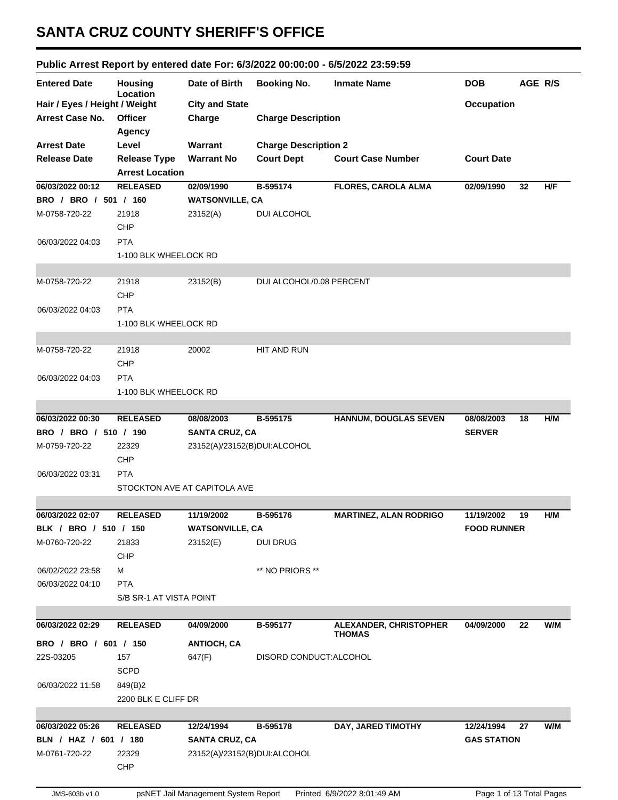## **SANTA CRUZ COUNTY SHERIFF'S OFFICE**

## **Public Arrest Report by entered date For: 6/3/2022 00:00:00 - 6/5/2022 23:59:59**

|                               |                            |                              |                             |                                         |                    | AGE R/S |     |
|-------------------------------|----------------------------|------------------------------|-----------------------------|-----------------------------------------|--------------------|---------|-----|
| <b>Entered Date</b>           | <b>Housing</b><br>Location | Date of Birth                | <b>Booking No.</b>          | <b>Inmate Name</b>                      | <b>DOB</b>         |         |     |
| Hair / Eyes / Height / Weight |                            | <b>City and State</b>        |                             |                                         | <b>Occupation</b>  |         |     |
| <b>Arrest Case No.</b>        | <b>Officer</b>             | Charge                       | <b>Charge Description</b>   |                                         |                    |         |     |
|                               | Agency                     |                              |                             |                                         |                    |         |     |
| <b>Arrest Date</b>            | Level                      | Warrant                      | <b>Charge Description 2</b> |                                         |                    |         |     |
| <b>Release Date</b>           | <b>Release Type</b>        | <b>Warrant No</b>            | <b>Court Dept</b>           | <b>Court Case Number</b>                | <b>Court Date</b>  |         |     |
|                               | <b>Arrest Location</b>     |                              |                             |                                         |                    |         |     |
| 06/03/2022 00:12              | <b>RELEASED</b>            | 02/09/1990                   | B-595174                    | <b>FLORES, CAROLA ALMA</b>              | 02/09/1990         | 32      | H/F |
| BRO / BRO / 501 / 160         |                            | <b>WATSONVILLE, CA</b>       |                             |                                         |                    |         |     |
| M-0758-720-22                 | 21918                      | 23152(A)                     | DUI ALCOHOL                 |                                         |                    |         |     |
|                               | <b>CHP</b>                 |                              |                             |                                         |                    |         |     |
| 06/03/2022 04:03              | <b>PTA</b>                 |                              |                             |                                         |                    |         |     |
|                               | 1-100 BLK WHEELOCK RD      |                              |                             |                                         |                    |         |     |
|                               |                            |                              |                             |                                         |                    |         |     |
| M-0758-720-22                 | 21918                      | 23152(B)                     | DUI ALCOHOL/0.08 PERCENT    |                                         |                    |         |     |
|                               | CHP                        |                              |                             |                                         |                    |         |     |
| 06/03/2022 04:03              | <b>PTA</b>                 |                              |                             |                                         |                    |         |     |
|                               | 1-100 BLK WHEELOCK RD      |                              |                             |                                         |                    |         |     |
|                               |                            |                              |                             |                                         |                    |         |     |
| M-0758-720-22                 | 21918                      | 20002                        | HIT AND RUN                 |                                         |                    |         |     |
|                               | CHP                        |                              |                             |                                         |                    |         |     |
| 06/03/2022 04:03              | <b>PTA</b>                 |                              |                             |                                         |                    |         |     |
|                               | 1-100 BLK WHEELOCK RD      |                              |                             |                                         |                    |         |     |
|                               |                            |                              |                             |                                         |                    |         |     |
| 06/03/2022 00:30              | <b>RELEASED</b>            | 08/08/2003                   | B-595175                    | <b>HANNUM, DOUGLAS SEVEN</b>            | 08/08/2003         | 18      | H/M |
| BRO / BRO / 510 / 190         |                            | <b>SANTA CRUZ, CA</b>        |                             |                                         | <b>SERVER</b>      |         |     |
| M-0759-720-22                 | 22329                      | 23152(A)/23152(B)DUI:ALCOHOL |                             |                                         |                    |         |     |
|                               | CHP                        |                              |                             |                                         |                    |         |     |
| 06/03/2022 03:31              | <b>PTA</b>                 |                              |                             |                                         |                    |         |     |
|                               |                            | STOCKTON AVE AT CAPITOLA AVE |                             |                                         |                    |         |     |
|                               |                            |                              |                             |                                         |                    |         |     |
| 06/03/2022 02:07              | <b>RELEASED</b>            | 11/19/2002                   | B-595176                    | <b>MARTINEZ, ALAN RODRIGO</b>           | 11/19/2002         | 19      | H/M |
| BLK / BRO / 510 / 150         |                            | <b>WATSONVILLE, CA</b>       |                             |                                         | <b>FOOD RUNNER</b> |         |     |
| M-0760-720-22                 | 21833                      | 23152(E)                     | <b>DUI DRUG</b>             |                                         |                    |         |     |
|                               | <b>CHP</b>                 |                              |                             |                                         |                    |         |     |
| 06/02/2022 23:58              | м                          |                              | ** NO PRIORS **             |                                         |                    |         |     |
| 06/03/2022 04:10              | <b>PTA</b>                 |                              |                             |                                         |                    |         |     |
|                               | S/B SR-1 AT VISTA POINT    |                              |                             |                                         |                    |         |     |
|                               |                            |                              |                             |                                         |                    |         |     |
| 06/03/2022 02:29              | <b>RELEASED</b>            | 04/09/2000                   | B-595177                    | ALEXANDER, CHRISTOPHER<br><b>THOMAS</b> | 04/09/2000         | 22      | W/M |
| BRO / BRO / 601 / 150         |                            | <b>ANTIOCH, CA</b>           |                             |                                         |                    |         |     |
| 22S-03205                     | 157                        | 647(F)                       | DISORD CONDUCT: ALCOHOL     |                                         |                    |         |     |
|                               | <b>SCPD</b>                |                              |                             |                                         |                    |         |     |
| 06/03/2022 11:58              | 849(B)2                    |                              |                             |                                         |                    |         |     |
|                               | 2200 BLK E CLIFF DR        |                              |                             |                                         |                    |         |     |
|                               |                            |                              |                             |                                         |                    |         |     |
| 06/03/2022 05:26              | <b>RELEASED</b>            | 12/24/1994                   | B-595178                    | DAY, JARED TIMOTHY                      | 12/24/1994         | 27      | W/M |
| BLN / HAZ / 601 / 180         |                            | <b>SANTA CRUZ, CA</b>        |                             |                                         | <b>GAS STATION</b> |         |     |
| M-0761-720-22                 | 22329                      | 23152(A)/23152(B)DUI:ALCOHOL |                             |                                         |                    |         |     |
|                               | <b>CHP</b>                 |                              |                             |                                         |                    |         |     |
|                               |                            |                              |                             |                                         |                    |         |     |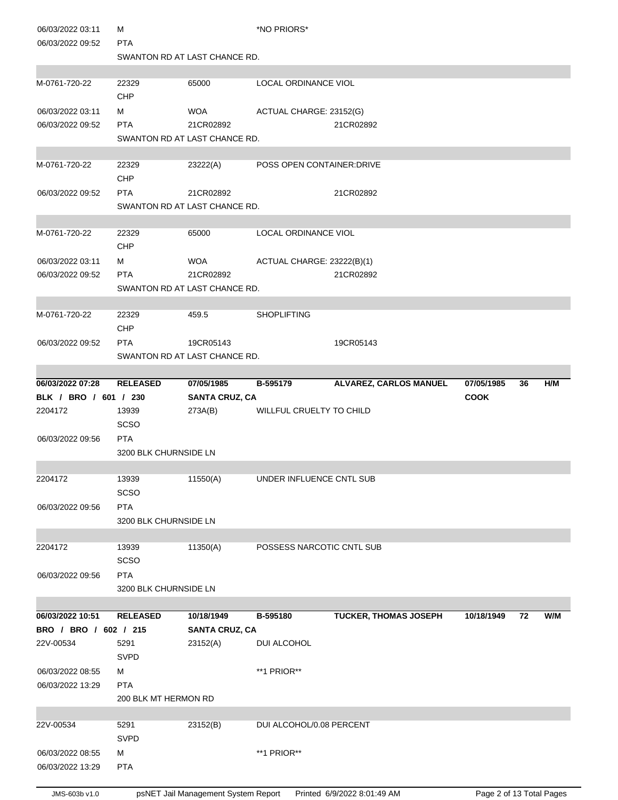| 06/03/2022 03:11<br>06/03/2022 09:52 | м<br><b>PTA</b>       |                                     | *NO PRIORS*                 |                               |                          |    |     |
|--------------------------------------|-----------------------|-------------------------------------|-----------------------------|-------------------------------|--------------------------|----|-----|
|                                      |                       | SWANTON RD AT LAST CHANCE RD.       |                             |                               |                          |    |     |
|                                      |                       |                                     |                             |                               |                          |    |     |
| M-0761-720-22                        | 22329<br>CHP          | 65000                               | <b>LOCAL ORDINANCE VIOL</b> |                               |                          |    |     |
| 06/03/2022 03:11                     | м                     | WOA                                 | ACTUAL CHARGE: 23152(G)     |                               |                          |    |     |
| 06/03/2022 09:52                     | <b>PTA</b>            | 21CR02892                           |                             | 21CR02892                     |                          |    |     |
|                                      |                       | SWANTON RD AT LAST CHANCE RD.       |                             |                               |                          |    |     |
| M-0761-720-22                        | 22329                 | 23222(A)                            | POSS OPEN CONTAINER: DRIVE  |                               |                          |    |     |
|                                      | CHP                   |                                     |                             |                               |                          |    |     |
| 06/03/2022 09:52                     | <b>PTA</b>            | 21CR02892                           |                             | 21CR02892                     |                          |    |     |
|                                      |                       | SWANTON RD AT LAST CHANCE RD.       |                             |                               |                          |    |     |
| M-0761-720-22                        | 22329                 | 65000                               | LOCAL ORDINANCE VIOL        |                               |                          |    |     |
|                                      | CHP                   |                                     |                             |                               |                          |    |     |
| 06/03/2022 03:11                     | м                     | <b>WOA</b>                          | ACTUAL CHARGE: 23222(B)(1)  |                               |                          |    |     |
| 06/03/2022 09:52                     | <b>PTA</b>            | 21CR02892                           |                             | 21CR02892                     |                          |    |     |
|                                      |                       | SWANTON RD AT LAST CHANCE RD.       |                             |                               |                          |    |     |
| M-0761-720-22                        | 22329                 | 459.5                               | <b>SHOPLIFTING</b>          |                               |                          |    |     |
|                                      | CHP                   |                                     |                             |                               |                          |    |     |
| 06/03/2022 09:52                     | <b>PTA</b>            | 19CR05143                           |                             | 19CR05143                     |                          |    |     |
|                                      |                       | SWANTON RD AT LAST CHANCE RD.       |                             |                               |                          |    |     |
| 06/03/2022 07:28                     | <b>RELEASED</b>       | 07/05/1985                          | B-595179                    | <b>ALVAREZ, CARLOS MANUEL</b> | 07/05/1985               | 36 | H/M |
| BLK / BRO / 601 / 230                |                       | <b>SANTA CRUZ, CA</b>               |                             |                               | <b>COOK</b>              |    |     |
| 2204172                              | 13939<br><b>SCSO</b>  | 273A(B)                             | WILLFUL CRUELTY TO CHILD    |                               |                          |    |     |
| 06/03/2022 09:56                     | <b>PTA</b>            |                                     |                             |                               |                          |    |     |
|                                      | 3200 BLK CHURNSIDE LN |                                     |                             |                               |                          |    |     |
| 2204172                              | 13939                 | 11550(A)                            | UNDER INFLUENCE CNTL SUB    |                               |                          |    |     |
|                                      | SCSO                  |                                     |                             |                               |                          |    |     |
| 06/03/2022 09:56                     | <b>PTA</b>            |                                     |                             |                               |                          |    |     |
|                                      | 3200 BLK CHURNSIDE LN |                                     |                             |                               |                          |    |     |
| 2204172                              | 13939                 | 11350(A)                            | POSSESS NARCOTIC CNTL SUB   |                               |                          |    |     |
|                                      | <b>SCSO</b>           |                                     |                             |                               |                          |    |     |
| 06/03/2022 09:56                     | <b>PTA</b>            |                                     |                             |                               |                          |    |     |
|                                      | 3200 BLK CHURNSIDE LN |                                     |                             |                               |                          |    |     |
| 06/03/2022 10:51                     | <b>RELEASED</b>       | 10/18/1949                          | B-595180                    | TUCKER, THOMAS JOSEPH         | 10/18/1949               | 72 | W/M |
| BRO / BRO / 602 / 215                |                       | <b>SANTA CRUZ, CA</b>               |                             |                               |                          |    |     |
| 22V-00534                            | 5291                  | 23152(A)                            | DUI ALCOHOL                 |                               |                          |    |     |
|                                      | SVPD                  |                                     |                             |                               |                          |    |     |
| 06/03/2022 08:55                     | м                     |                                     | **1 PRIOR**                 |                               |                          |    |     |
| 06/03/2022 13:29                     | <b>PTA</b>            |                                     |                             |                               |                          |    |     |
|                                      | 200 BLK MT HERMON RD  |                                     |                             |                               |                          |    |     |
| 22V-00534                            | 5291                  | 23152(B)                            | DUI ALCOHOL/0.08 PERCENT    |                               |                          |    |     |
|                                      | <b>SVPD</b>           |                                     |                             |                               |                          |    |     |
| 06/03/2022 08:55                     | м                     |                                     | **1 PRIOR**                 |                               |                          |    |     |
| 06/03/2022 13:29                     | <b>PTA</b>            |                                     |                             |                               |                          |    |     |
|                                      |                       |                                     |                             |                               |                          |    |     |
| JMS-603b v1.0                        |                       | psNET Jail Management System Report |                             | Printed 6/9/2022 8:01:49 AM   | Page 2 of 13 Total Pages |    |     |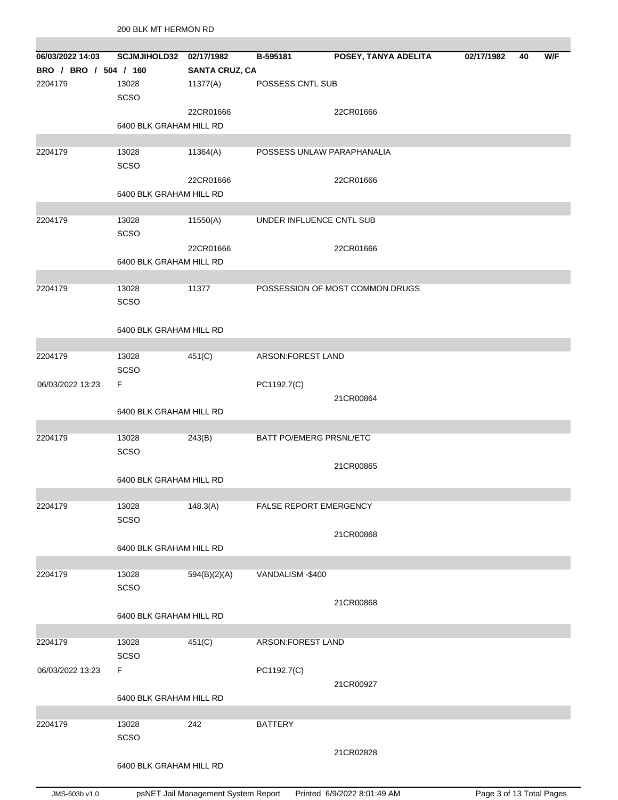| 06/03/2022 14:03      | SCJMJIHOLD32 02/17/1982 |                       | B-595181                   | POSEY, TANYA ADELITA            | 02/17/1982 | 40 | W/F |
|-----------------------|-------------------------|-----------------------|----------------------------|---------------------------------|------------|----|-----|
| BRO / BRO / 504 / 160 |                         | <b>SANTA CRUZ, CA</b> |                            |                                 |            |    |     |
| 2204179               | 13028                   | 11377(A)              | POSSESS CNTL SUB           |                                 |            |    |     |
|                       | SCSO                    |                       |                            |                                 |            |    |     |
|                       |                         |                       |                            |                                 |            |    |     |
|                       |                         | 22CR01666             |                            | 22CR01666                       |            |    |     |
|                       | 6400 BLK GRAHAM HILL RD |                       |                            |                                 |            |    |     |
|                       |                         |                       |                            |                                 |            |    |     |
| 2204179               | 13028                   | 11364(A)              | POSSESS UNLAW PARAPHANALIA |                                 |            |    |     |
|                       | SCSO                    |                       |                            |                                 |            |    |     |
|                       |                         | 22CR01666             |                            | 22CR01666                       |            |    |     |
|                       | 6400 BLK GRAHAM HILL RD |                       |                            |                                 |            |    |     |
|                       |                         |                       |                            |                                 |            |    |     |
| 2204179               | 13028                   | 11550(A)              | UNDER INFLUENCE CNTL SUB   |                                 |            |    |     |
|                       | SCSO                    |                       |                            |                                 |            |    |     |
|                       |                         | 22CR01666             |                            | 22CR01666                       |            |    |     |
|                       | 6400 BLK GRAHAM HILL RD |                       |                            |                                 |            |    |     |
|                       |                         |                       |                            |                                 |            |    |     |
| 2204179               | 13028                   | 11377                 |                            | POSSESSION OF MOST COMMON DRUGS |            |    |     |
|                       |                         |                       |                            |                                 |            |    |     |
|                       | SCSO                    |                       |                            |                                 |            |    |     |
|                       |                         |                       |                            |                                 |            |    |     |
|                       | 6400 BLK GRAHAM HILL RD |                       |                            |                                 |            |    |     |
|                       |                         |                       |                            |                                 |            |    |     |
| 2204179               | 13028                   | 451(C)                | ARSON:FOREST LAND          |                                 |            |    |     |
|                       | SCSO                    |                       |                            |                                 |            |    |     |
| 06/03/2022 13:23      | F                       |                       | PC1192.7(C)                |                                 |            |    |     |
|                       |                         |                       |                            | 21CR00864                       |            |    |     |
|                       | 6400 BLK GRAHAM HILL RD |                       |                            |                                 |            |    |     |
|                       |                         |                       |                            |                                 |            |    |     |
| 2204179               | 13028                   | 243(B)                | BATT PO/EMERG PRSNL/ETC    |                                 |            |    |     |
|                       | SCSO                    |                       |                            |                                 |            |    |     |
|                       |                         |                       |                            | 21CR00865                       |            |    |     |
|                       | 6400 BLK GRAHAM HILL RD |                       |                            |                                 |            |    |     |
|                       |                         |                       |                            |                                 |            |    |     |
| 2204179               |                         |                       | FALSE REPORT EMERGENCY     |                                 |            |    |     |
|                       | 13028<br><b>SCSO</b>    | 148.3(A)              |                            |                                 |            |    |     |
|                       |                         |                       |                            |                                 |            |    |     |
|                       |                         |                       |                            | 21CR00868                       |            |    |     |
|                       | 6400 BLK GRAHAM HILL RD |                       |                            |                                 |            |    |     |
|                       |                         |                       |                            |                                 |            |    |     |
| 2204179               | 13028                   | 594(B)(2)(A)          | VANDALISM - \$400          |                                 |            |    |     |
|                       | SCSO                    |                       |                            |                                 |            |    |     |
|                       |                         |                       |                            | 21CR00868                       |            |    |     |
|                       | 6400 BLK GRAHAM HILL RD |                       |                            |                                 |            |    |     |
|                       |                         |                       |                            |                                 |            |    |     |
| 2204179               | 13028                   | 451(C)                | ARSON: FOREST LAND         |                                 |            |    |     |
|                       | SCSO                    |                       |                            |                                 |            |    |     |
| 06/03/2022 13:23      | F                       |                       | PC1192.7(C)                |                                 |            |    |     |
|                       |                         |                       |                            | 21CR00927                       |            |    |     |
|                       | 6400 BLK GRAHAM HILL RD |                       |                            |                                 |            |    |     |
|                       |                         |                       |                            |                                 |            |    |     |
| 2204179               | 13028                   | 242                   | <b>BATTERY</b>             |                                 |            |    |     |
|                       |                         |                       |                            |                                 |            |    |     |
|                       | SCSO                    |                       |                            |                                 |            |    |     |
|                       |                         |                       |                            |                                 |            |    |     |
|                       | 6400 BLK GRAHAM HILL RD |                       |                            | 21CR02828                       |            |    |     |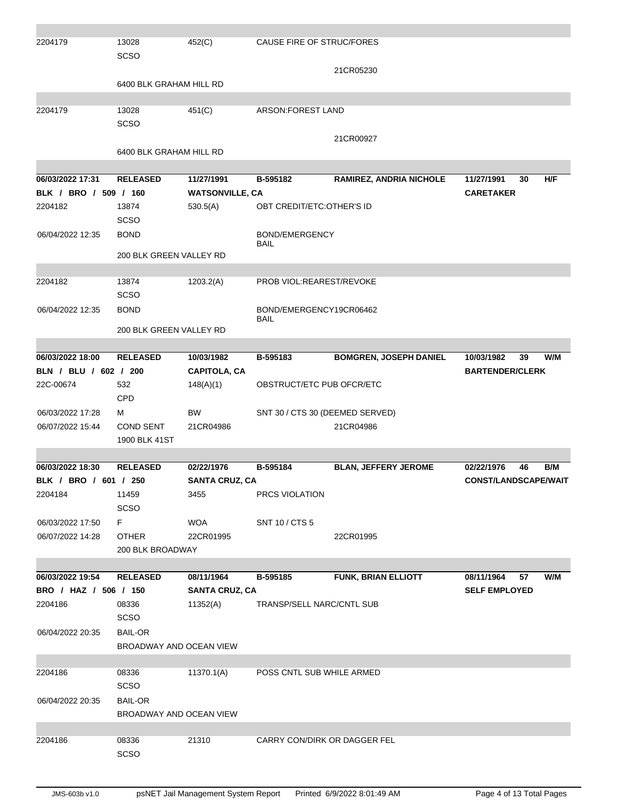| 2204179               | 13028<br><b>SCSO</b>       | 452(C)                 | CAUSE FIRE OF STRUC/FORES       |                                |                             |
|-----------------------|----------------------------|------------------------|---------------------------------|--------------------------------|-----------------------------|
|                       | 6400 BLK GRAHAM HILL RD    |                        |                                 | 21CR05230                      |                             |
|                       |                            |                        |                                 |                                |                             |
| 2204179               | 13028<br><b>SCSO</b>       | 451(C)                 | ARSON: FOREST LAND              |                                |                             |
|                       |                            |                        |                                 | 21CR00927                      |                             |
|                       | 6400 BLK GRAHAM HILL RD    |                        |                                 |                                |                             |
| 06/03/2022 17:31      | <b>RELEASED</b>            | 11/27/1991             | B-595182                        | <b>RAMIREZ, ANDRIA NICHOLE</b> | H/F<br>11/27/1991<br>30     |
| BLK / BRO / 509 / 160 |                            | <b>WATSONVILLE, CA</b> |                                 |                                | <b>CARETAKER</b>            |
| 2204182               | 13874                      | 530.5(A)               | OBT CREDIT/ETC: OTHER'S ID      |                                |                             |
|                       | <b>SCSO</b>                |                        |                                 |                                |                             |
| 06/04/2022 12:35      | <b>BOND</b>                |                        | BOND/EMERGENCY<br>BAIL          |                                |                             |
|                       | 200 BLK GREEN VALLEY RD    |                        |                                 |                                |                             |
| 2204182               | 13874                      | 1203.2(A)              | PROB VIOL:REAREST/REVOKE        |                                |                             |
| 06/04/2022 12:35      | <b>SCSO</b><br><b>BOND</b> |                        | BOND/EMERGENCY19CR06462         |                                |                             |
|                       | 200 BLK GREEN VALLEY RD    |                        | BAIL                            |                                |                             |
|                       |                            |                        |                                 |                                |                             |
| 06/03/2022 18:00      | <b>RELEASED</b>            | 10/03/1982             | B-595183                        | <b>BOMGREN, JOSEPH DANIEL</b>  | W/M<br>10/03/1982<br>39     |
| BLN / BLU / 602 / 200 |                            | <b>CAPITOLA, CA</b>    |                                 |                                | <b>BARTENDER/CLERK</b>      |
| 22C-00674             | 532<br>CPD                 | 148(A)(1)              | OBSTRUCT/ETC PUB OFCR/ETC       |                                |                             |
| 06/03/2022 17:28      | м                          | <b>BW</b>              | SNT 30 / CTS 30 (DEEMED SERVED) |                                |                             |
| 06/07/2022 15:44      | <b>COND SENT</b>           | 21CR04986              |                                 | 21CR04986                      |                             |
|                       | 1900 BLK 41ST              |                        |                                 |                                |                             |
| 06/03/2022 18:30      | <b>RELEASED</b>            | 02/22/1976             | B-595184                        | <b>BLAN, JEFFERY JEROME</b>    | 02/22/1976<br>B/M<br>46     |
| BLK / BRO / 601 / 250 |                            | <b>SANTA CRUZ, CA</b>  |                                 |                                | <b>CONST/LANDSCAPE/WAIT</b> |
| 2204184               | 11459                      | 3455                   | PRCS VIOLATION                  |                                |                             |
|                       | <b>SCSO</b>                |                        |                                 |                                |                             |
| 06/03/2022 17:50      | F.                         | <b>WOA</b>             | SNT 10 / CTS 5                  |                                |                             |
| 06/07/2022 14:28      | <b>OTHER</b>               | 22CR01995              |                                 | 22CR01995                      |                             |
|                       | 200 BLK BROADWAY           |                        |                                 |                                |                             |
|                       |                            |                        |                                 |                                |                             |
| 06/03/2022 19:54      | <b>RELEASED</b>            | 08/11/1964             | B-595185                        | FUNK, BRIAN ELLIOTT            | 08/11/1964<br>57<br>W/M     |
| BRO / HAZ / 506 / 150 |                            | <b>SANTA CRUZ, CA</b>  |                                 |                                | <b>SELF EMPLOYED</b>        |
| 2204186               | 08336<br><b>SCSO</b>       | 11352(A)               | TRANSP/SELL NARC/CNTL SUB       |                                |                             |
| 06/04/2022 20:35      | <b>BAIL-OR</b>             |                        |                                 |                                |                             |
|                       | BROADWAY AND OCEAN VIEW    |                        |                                 |                                |                             |
|                       |                            |                        |                                 |                                |                             |
| 2204186               | 08336<br><b>SCSO</b>       | 11370.1(A)             | POSS CNTL SUB WHILE ARMED       |                                |                             |
| 06/04/2022 20:35      | <b>BAIL-OR</b>             |                        |                                 |                                |                             |
|                       | BROADWAY AND OCEAN VIEW    |                        |                                 |                                |                             |
|                       |                            |                        |                                 |                                |                             |
| 2204186               | 08336<br><b>SCSO</b>       | 21310                  | CARRY CON/DIRK OR DAGGER FEL    |                                |                             |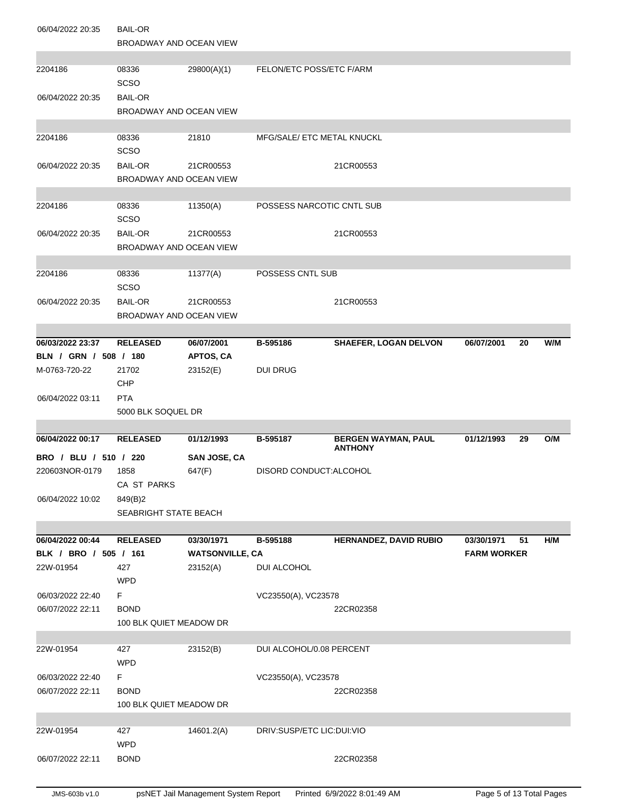| 06/04/2022 20:35      | <b>BAIL-OR</b><br>BROADWAY AND OCEAN VIEW |                        |                            |                                              |                    |    |     |
|-----------------------|-------------------------------------------|------------------------|----------------------------|----------------------------------------------|--------------------|----|-----|
| 2204186               | 08336<br><b>SCSO</b>                      | 29800(A)(1)            | FELON/ETC POSS/ETC F/ARM   |                                              |                    |    |     |
| 06/04/2022 20:35      | <b>BAIL-OR</b><br>BROADWAY AND OCEAN VIEW |                        |                            |                                              |                    |    |     |
| 2204186               | 08336<br><b>SCSO</b>                      | 21810                  | MFG/SALE/ ETC METAL KNUCKL |                                              |                    |    |     |
| 06/04/2022 20:35      | <b>BAIL-OR</b><br>BROADWAY AND OCEAN VIEW | 21CR00553              |                            | 21CR00553                                    |                    |    |     |
| 2204186               | 08336<br><b>SCSO</b>                      | 11350(A)               | POSSESS NARCOTIC CNTL SUB  |                                              |                    |    |     |
| 06/04/2022 20:35      | <b>BAIL-OR</b><br>BROADWAY AND OCEAN VIEW | 21CR00553              |                            | 21CR00553                                    |                    |    |     |
| 2204186               | 08336<br><b>SCSO</b>                      | 11377(A)               | POSSESS CNTL SUB           |                                              |                    |    |     |
| 06/04/2022 20:35      | <b>BAIL-OR</b><br>BROADWAY AND OCEAN VIEW | 21CR00553              |                            | 21CR00553                                    |                    |    |     |
| 06/03/2022 23:37      | <b>RELEASED</b>                           | 06/07/2001             |                            | <b>SHAEFER, LOGAN DELVON</b>                 | 06/07/2001         |    | W/M |
| BLN / GRN / 508 / 180 |                                           | APTOS, CA              | B-595186                   |                                              |                    | 20 |     |
| M-0763-720-22         | 21702<br>CHP                              | 23152(E)               | <b>DUI DRUG</b>            |                                              |                    |    |     |
| 06/04/2022 03:11      | <b>PTA</b>                                |                        |                            |                                              |                    |    |     |
|                       |                                           |                        |                            |                                              |                    |    |     |
|                       | 5000 BLK SOQUEL DR                        |                        |                            |                                              |                    |    |     |
|                       |                                           |                        |                            |                                              |                    |    |     |
| 06/04/2022 00:17      | <b>RELEASED</b>                           | 01/12/1993             | B-595187                   | <b>BERGEN WAYMAN, PAUL</b><br><b>ANTHONY</b> | 01/12/1993         | 29 | O/M |
| BRO / BLU / 510 / 220 |                                           | <b>SAN JOSE, CA</b>    |                            |                                              |                    |    |     |
| 220603NOR-0179        | 1858<br>CA ST PARKS                       | 647(F)                 | DISORD CONDUCT:ALCOHOL     |                                              |                    |    |     |
| 06/04/2022 10:02      | 849(B)2                                   |                        |                            |                                              |                    |    |     |
|                       | <b>SEABRIGHT STATE BEACH</b>              |                        |                            |                                              |                    |    |     |
| 06/04/2022 00:44      | <b>RELEASED</b>                           | 03/30/1971             | B-595188                   | <b>HERNANDEZ, DAVID RUBIO</b>                | 03/30/1971         | 51 | H/M |
| BLK / BRO / 505 / 161 |                                           | <b>WATSONVILLE, CA</b> |                            |                                              | <b>FARM WORKER</b> |    |     |
| 22W-01954             | 427<br><b>WPD</b>                         | 23152(A)               | DUI ALCOHOL                |                                              |                    |    |     |
| 06/03/2022 22:40      | F.                                        |                        | VC23550(A), VC23578        |                                              |                    |    |     |
| 06/07/2022 22:11      | <b>BOND</b>                               |                        |                            | 22CR02358                                    |                    |    |     |
|                       | 100 BLK QUIET MEADOW DR                   |                        |                            |                                              |                    |    |     |
| 22W-01954             |                                           |                        |                            |                                              |                    |    |     |
|                       | 427<br><b>WPD</b>                         | 23152(B)               | DUI ALCOHOL/0.08 PERCENT   |                                              |                    |    |     |
| 06/03/2022 22:40      | F.                                        |                        | VC23550(A), VC23578        |                                              |                    |    |     |
| 06/07/2022 22:11      | <b>BOND</b>                               |                        |                            | 22CR02358                                    |                    |    |     |
|                       | 100 BLK QUIET MEADOW DR                   |                        |                            |                                              |                    |    |     |
| 22W-01954             | 427<br><b>WPD</b>                         | 14601.2(A)             | DRIV:SUSP/ETC LIC:DUI:VIO  |                                              |                    |    |     |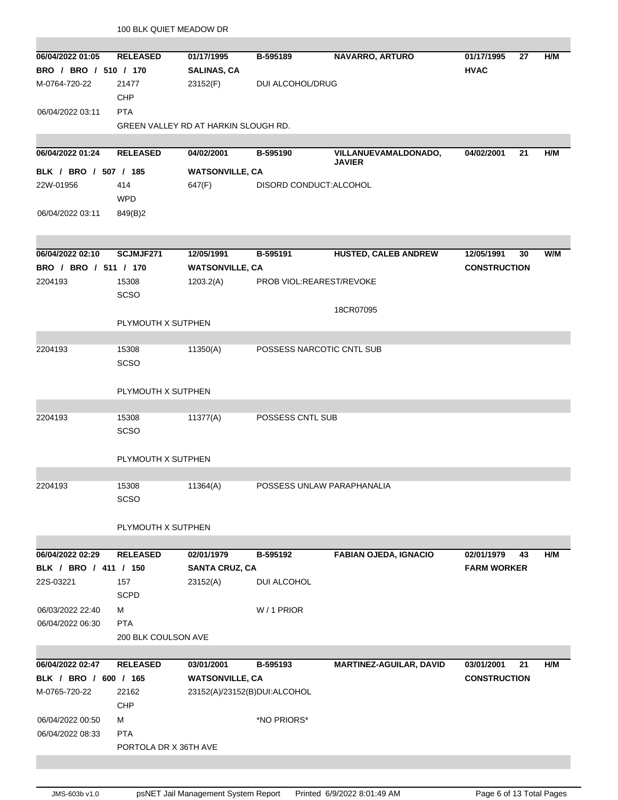|                                           | 100 BLK QUIET MEADOW DR |                                      |                            |                                       |                                 |     |
|-------------------------------------------|-------------------------|--------------------------------------|----------------------------|---------------------------------------|---------------------------------|-----|
| 06/04/2022 01:05<br>BRO / BRO / 510 / 170 | <b>RELEASED</b>         | 01/17/1995                           | B-595189                   | <b>NAVARRO, ARTURO</b>                | 01/17/1995<br>27<br><b>HVAC</b> | H/M |
| M-0764-720-22                             | 21477                   | <b>SALINAS, CA</b><br>23152(F)       | DUI ALCOHOL/DRUG           |                                       |                                 |     |
|                                           | CHP                     |                                      |                            |                                       |                                 |     |
| 06/04/2022 03:11                          | <b>PTA</b>              |                                      |                            |                                       |                                 |     |
|                                           |                         | GREEN VALLEY RD AT HARKIN SLOUGH RD. |                            |                                       |                                 |     |
|                                           |                         |                                      |                            |                                       |                                 |     |
| 06/04/2022 01:24                          | <b>RELEASED</b>         | 04/02/2001                           | B-595190                   | VILLANUEVAMALDONADO,<br><b>JAVIER</b> | 04/02/2001<br>21                | H/M |
| BLK / BRO / 507 / 185                     |                         | <b>WATSONVILLE, CA</b>               |                            |                                       |                                 |     |
| 22W-01956                                 | 414                     | 647(F)                               | DISORD CONDUCT: ALCOHOL    |                                       |                                 |     |
|                                           | <b>WPD</b>              |                                      |                            |                                       |                                 |     |
| 06/04/2022 03:11                          | 849(B)2                 |                                      |                            |                                       |                                 |     |
|                                           |                         |                                      |                            |                                       |                                 |     |
|                                           |                         |                                      |                            |                                       |                                 |     |
| 06/04/2022 02:10                          | SCJMJF271               | 12/05/1991                           | B-595191                   | <b>HUSTED, CALEB ANDREW</b>           | 12/05/1991<br>30                | W/M |
| BRO / BRO / 511 / 170                     |                         | <b>WATSONVILLE, CA</b>               |                            |                                       | <b>CONSTRUCTION</b>             |     |
| 2204193                                   | 15308<br>SCSO           | 1203.2(A)                            | PROB VIOL:REAREST/REVOKE   |                                       |                                 |     |
|                                           |                         |                                      |                            | 18CR07095                             |                                 |     |
|                                           | PLYMOUTH X SUTPHEN      |                                      |                            |                                       |                                 |     |
|                                           |                         |                                      |                            |                                       |                                 |     |
| 2204193                                   | 15308                   | 11350(A)                             | POSSESS NARCOTIC CNTL SUB  |                                       |                                 |     |
|                                           | <b>SCSO</b>             |                                      |                            |                                       |                                 |     |
|                                           |                         |                                      |                            |                                       |                                 |     |
|                                           | PLYMOUTH X SUTPHEN      |                                      |                            |                                       |                                 |     |
|                                           |                         |                                      |                            |                                       |                                 |     |
| 2204193                                   | 15308<br><b>SCSO</b>    | 11377(A)                             | POSSESS CNTL SUB           |                                       |                                 |     |
|                                           |                         |                                      |                            |                                       |                                 |     |
|                                           | PLYMOUTH X SUTPHEN      |                                      |                            |                                       |                                 |     |
|                                           |                         |                                      |                            |                                       |                                 |     |
| 2204193                                   | 15308                   | 11364(A)                             | POSSESS UNLAW PARAPHANALIA |                                       |                                 |     |
|                                           | <b>SCSO</b>             |                                      |                            |                                       |                                 |     |
|                                           |                         |                                      |                            |                                       |                                 |     |
|                                           | PLYMOUTH X SUTPHEN      |                                      |                            |                                       |                                 |     |
|                                           |                         |                                      |                            |                                       |                                 |     |
| 06/04/2022 02:29                          | <b>RELEASED</b>         | 02/01/1979                           | B-595192                   | <b>FABIAN OJEDA, IGNACIO</b>          | 02/01/1979<br>43                | H/M |
| BLK / BRO / 411 / 150                     |                         | <b>SANTA CRUZ, CA</b>                |                            |                                       | <b>FARM WORKER</b>              |     |
| 22S-03221                                 | 157<br><b>SCPD</b>      | 23152(A)                             | DUI ALCOHOL                |                                       |                                 |     |
| 06/03/2022 22:40                          | м                       |                                      | W / 1 PRIOR                |                                       |                                 |     |
| 06/04/2022 06:30                          | <b>PTA</b>              |                                      |                            |                                       |                                 |     |
|                                           | 200 BLK COULSON AVE     |                                      |                            |                                       |                                 |     |
|                                           |                         |                                      |                            |                                       |                                 |     |
| 06/04/2022 02:47                          | <b>RELEASED</b>         | 03/01/2001                           | B-595193                   | <b>MARTINEZ-AGUILAR, DAVID</b>        | 03/01/2001<br>21                | H/M |
| BLK / BRO / 600 / 165                     |                         | <b>WATSONVILLE, CA</b>               |                            |                                       | <b>CONSTRUCTION</b>             |     |
| M-0765-720-22                             | 22162                   | 23152(A)/23152(B)DUI:ALCOHOL         |                            |                                       |                                 |     |
|                                           | <b>CHP</b>              |                                      |                            |                                       |                                 |     |
| 06/04/2022 00:50                          | м                       |                                      | *NO PRIORS*                |                                       |                                 |     |
| 06/04/2022 08:33                          | <b>PTA</b>              |                                      |                            |                                       |                                 |     |
|                                           | PORTOLA DR X 36TH AVE   |                                      |                            |                                       |                                 |     |
|                                           |                         |                                      |                            |                                       |                                 |     |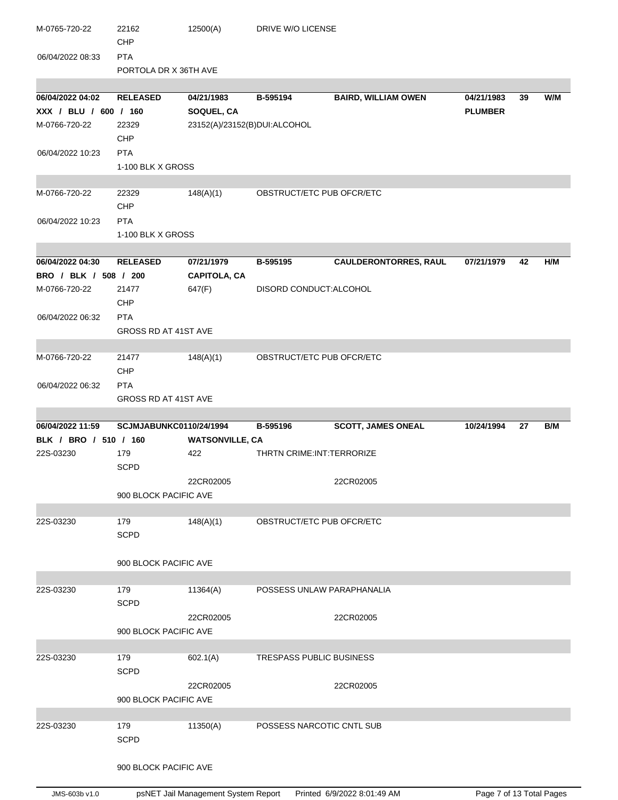| M-0765-720-22         | 22162<br>CHP            | 12500(A)                     | DRIVE W/O LICENSE           |                              |                |    |     |
|-----------------------|-------------------------|------------------------------|-----------------------------|------------------------------|----------------|----|-----|
| 06/04/2022 08:33      | <b>PTA</b>              |                              |                             |                              |                |    |     |
|                       | PORTOLA DR X 36TH AVE   |                              |                             |                              |                |    |     |
|                       |                         |                              |                             |                              |                |    |     |
| 06/04/2022 04:02      | <b>RELEASED</b>         | 04/21/1983                   | B-595194                    | <b>BAIRD, WILLIAM OWEN</b>   | 04/21/1983     | 39 | W/M |
| XXX / BLU / 600 / 160 |                         | SOQUEL, CA                   |                             |                              | <b>PLUMBER</b> |    |     |
| M-0766-720-22         | 22329                   | 23152(A)/23152(B)DUI:ALCOHOL |                             |                              |                |    |     |
|                       | <b>CHP</b>              |                              |                             |                              |                |    |     |
| 06/04/2022 10:23      | <b>PTA</b>              |                              |                             |                              |                |    |     |
|                       | 1-100 BLK X GROSS       |                              |                             |                              |                |    |     |
| M-0766-720-22         | 22329                   | 148(A)(1)                    | OBSTRUCT/ETC PUB OFCR/ETC   |                              |                |    |     |
|                       | CHP                     |                              |                             |                              |                |    |     |
| 06/04/2022 10:23      | <b>PTA</b>              |                              |                             |                              |                |    |     |
|                       | 1-100 BLK X GROSS       |                              |                             |                              |                |    |     |
|                       |                         |                              |                             |                              |                |    |     |
| 06/04/2022 04:30      | <b>RELEASED</b>         | 07/21/1979                   | B-595195                    | <b>CAULDERONTORRES, RAUL</b> | 07/21/1979     | 42 | H/M |
| BRO / BLK / 508 / 200 |                         | <b>CAPITOLA, CA</b>          |                             |                              |                |    |     |
| M-0766-720-22         | 21477                   | 647(F)                       | DISORD CONDUCT: ALCOHOL     |                              |                |    |     |
|                       | <b>CHP</b>              |                              |                             |                              |                |    |     |
| 06/04/2022 06:32      | <b>PTA</b>              |                              |                             |                              |                |    |     |
|                       | GROSS RD AT 41ST AVE    |                              |                             |                              |                |    |     |
| M-0766-720-22         | 21477                   | 148(A)(1)                    | OBSTRUCT/ETC PUB OFCR/ETC   |                              |                |    |     |
|                       | <b>CHP</b>              |                              |                             |                              |                |    |     |
| 06/04/2022 06:32      | <b>PTA</b>              |                              |                             |                              |                |    |     |
|                       | GROSS RD AT 41ST AVE    |                              |                             |                              |                |    |     |
|                       |                         |                              |                             |                              |                |    |     |
|                       |                         |                              |                             |                              |                |    |     |
| 06/04/2022 11:59      | SCJMJABUNKC0110/24/1994 |                              | B-595196                    | <b>SCOTT, JAMES ONEAL</b>    | 10/24/1994     | 27 | B/M |
| BLK / BRO / 510 / 160 |                         | <b>WATSONVILLE, CA</b>       |                             |                              |                |    |     |
| 22S-03230             | 179<br><b>SCPD</b>      | 422                          | THRTN CRIME: INT: TERRORIZE |                              |                |    |     |
|                       |                         | 22CR02005                    |                             | 22CR02005                    |                |    |     |
|                       | 900 BLOCK PACIFIC AVE   |                              |                             |                              |                |    |     |
|                       |                         |                              |                             |                              |                |    |     |
| 22S-03230             | 179<br><b>SCPD</b>      | 148(A)(1)                    | OBSTRUCT/ETC PUB OFCR/ETC   |                              |                |    |     |
|                       |                         |                              |                             |                              |                |    |     |
|                       | 900 BLOCK PACIFIC AVE   |                              |                             |                              |                |    |     |
|                       |                         |                              |                             |                              |                |    |     |
| 22S-03230             | 179                     | 11364(A)                     | POSSESS UNLAW PARAPHANALIA  |                              |                |    |     |
|                       | <b>SCPD</b>             |                              |                             |                              |                |    |     |
|                       |                         | 22CR02005                    |                             | 22CR02005                    |                |    |     |
|                       | 900 BLOCK PACIFIC AVE   |                              |                             |                              |                |    |     |
|                       |                         |                              |                             |                              |                |    |     |
| 22S-03230             | 179<br><b>SCPD</b>      | 602.1(A)                     | TRESPASS PUBLIC BUSINESS    |                              |                |    |     |
|                       |                         | 22CR02005                    |                             | 22CR02005                    |                |    |     |
|                       | 900 BLOCK PACIFIC AVE   |                              |                             |                              |                |    |     |
|                       |                         |                              |                             |                              |                |    |     |
| 22S-03230             | 179                     | 11350(A)                     | POSSESS NARCOTIC CNTL SUB   |                              |                |    |     |
|                       | <b>SCPD</b>             |                              |                             |                              |                |    |     |
|                       | 900 BLOCK PACIFIC AVE   |                              |                             |                              |                |    |     |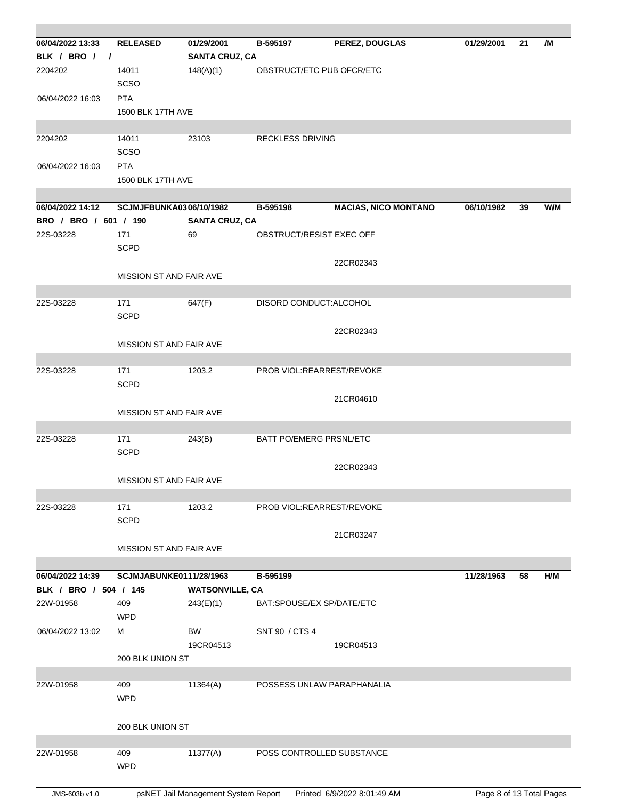| 06/04/2022 13:33      | <b>RELEASED</b>                | 01/29/2001                          | B-595197                 | PEREZ, DOUGLAS              | 01/29/2001               | 21 | /M  |
|-----------------------|--------------------------------|-------------------------------------|--------------------------|-----------------------------|--------------------------|----|-----|
| BLK / BRO / /         |                                | <b>SANTA CRUZ, CA</b>               |                          |                             |                          |    |     |
| 2204202               | 14011                          | 148(A)(1)                           |                          | OBSTRUCT/ETC PUB OFCR/ETC   |                          |    |     |
|                       | <b>SCSO</b>                    |                                     |                          |                             |                          |    |     |
| 06/04/2022 16:03      | <b>PTA</b>                     |                                     |                          |                             |                          |    |     |
|                       | 1500 BLK 17TH AVE              |                                     |                          |                             |                          |    |     |
|                       |                                |                                     |                          |                             |                          |    |     |
| 2204202               | 14011                          | 23103                               | <b>RECKLESS DRIVING</b>  |                             |                          |    |     |
|                       | <b>SCSO</b>                    |                                     |                          |                             |                          |    |     |
| 06/04/2022 16:03      | <b>PTA</b>                     |                                     |                          |                             |                          |    |     |
|                       | <b>1500 BLK 17TH AVE</b>       |                                     |                          |                             |                          |    |     |
| 06/04/2022 14:12      | <b>SCJMJFBUNKA0306/10/1982</b> |                                     | B-595198                 | <b>MACIAS, NICO MONTANO</b> | 06/10/1982               | 39 | W/M |
| BRO / BRO / 601 / 190 |                                | <b>SANTA CRUZ, CA</b>               |                          |                             |                          |    |     |
| 22S-03228             | 171                            | 69                                  | OBSTRUCT/RESIST EXEC OFF |                             |                          |    |     |
|                       | <b>SCPD</b>                    |                                     |                          |                             |                          |    |     |
|                       |                                |                                     |                          | 22CR02343                   |                          |    |     |
|                       | MISSION ST AND FAIR AVE        |                                     |                          |                             |                          |    |     |
|                       |                                |                                     |                          |                             |                          |    |     |
| 22S-03228             | 171<br><b>SCPD</b>             | 647(F)                              | DISORD CONDUCT: ALCOHOL  |                             |                          |    |     |
|                       |                                |                                     |                          | 22CR02343                   |                          |    |     |
|                       | <b>MISSION ST AND FAIR AVE</b> |                                     |                          |                             |                          |    |     |
|                       |                                |                                     |                          |                             |                          |    |     |
| 22S-03228             | 171                            | 1203.2                              |                          | PROB VIOL:REARREST/REVOKE   |                          |    |     |
|                       | <b>SCPD</b>                    |                                     |                          |                             |                          |    |     |
|                       |                                |                                     |                          | 21CR04610                   |                          |    |     |
|                       | MISSION ST AND FAIR AVE        |                                     |                          |                             |                          |    |     |
|                       |                                |                                     |                          |                             |                          |    |     |
| 22S-03228             | 171<br><b>SCPD</b>             | 243(B)                              | BATT PO/EMERG PRSNL/ETC  |                             |                          |    |     |
|                       |                                |                                     |                          |                             |                          |    |     |
|                       | MISSION ST AND FAIR AVE        |                                     |                          | 22CR02343                   |                          |    |     |
|                       |                                |                                     |                          |                             |                          |    |     |
| 22S-03228             | 171                            | 1203.2                              |                          | PROB VIOL:REARREST/REVOKE   |                          |    |     |
|                       | <b>SCPD</b>                    |                                     |                          |                             |                          |    |     |
|                       |                                |                                     |                          | 21CR03247                   |                          |    |     |
|                       | MISSION ST AND FAIR AVE        |                                     |                          |                             |                          |    |     |
|                       |                                |                                     |                          |                             |                          |    |     |
| 06/04/2022 14:39      | SCJMJABUNKE0111/28/1963        |                                     | B-595199                 |                             | 11/28/1963               | 58 | H/M |
| BLK / BRO / 504 / 145 |                                | <b>WATSONVILLE, CA</b>              |                          |                             |                          |    |     |
| 22W-01958             | 409<br><b>WPD</b>              | 243(E)(1)                           |                          | BAT:SPOUSE/EX SP/DATE/ETC   |                          |    |     |
| 06/04/2022 13:02      | м                              | BW                                  | SNT 90 / CTS 4           |                             |                          |    |     |
|                       |                                | 19CR04513                           |                          | 19CR04513                   |                          |    |     |
|                       | 200 BLK UNION ST               |                                     |                          |                             |                          |    |     |
|                       |                                |                                     |                          |                             |                          |    |     |
| 22W-01958             | 409                            | 11364(A)                            |                          | POSSESS UNLAW PARAPHANALIA  |                          |    |     |
|                       | <b>WPD</b>                     |                                     |                          |                             |                          |    |     |
|                       |                                |                                     |                          |                             |                          |    |     |
|                       | 200 BLK UNION ST               |                                     |                          |                             |                          |    |     |
|                       |                                |                                     |                          |                             |                          |    |     |
| 22W-01958             | 409                            | 11377(A)                            |                          | POSS CONTROLLED SUBSTANCE   |                          |    |     |
|                       | <b>WPD</b>                     |                                     |                          |                             |                          |    |     |
| JMS-603b v1.0         |                                | psNET Jail Management System Report |                          | Printed 6/9/2022 8:01:49 AM | Page 8 of 13 Total Pages |    |     |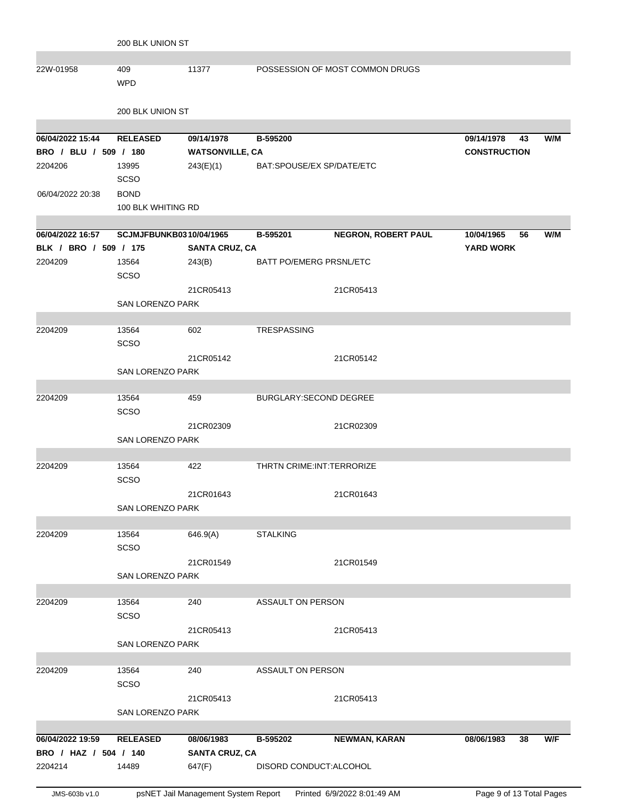| JMS-603b v1.0         |                         | psNET Jail Management System Report |                                | Printed 6/9/2022 8:01:49 AM     | Page 9 of 13 Total Pages |    |     |
|-----------------------|-------------------------|-------------------------------------|--------------------------------|---------------------------------|--------------------------|----|-----|
|                       |                         |                                     |                                |                                 |                          |    |     |
| 2204214               | 14489                   | 647(F)                              | DISORD CONDUCT: ALCOHOL        |                                 |                          |    |     |
| BRO / HAZ / 504 / 140 |                         | <b>SANTA CRUZ, CA</b>               |                                |                                 |                          |    |     |
| 06/04/2022 19:59      | <b>RELEASED</b>         | 08/06/1983                          | B-595202                       | <b>NEWMAN, KARAN</b>            | 08/06/1983               | 38 | W/F |
|                       | <b>SAN LORENZO PARK</b> |                                     |                                |                                 |                          |    |     |
|                       |                         | 21CR05413                           |                                | 21CR05413                       |                          |    |     |
|                       |                         |                                     |                                |                                 |                          |    |     |
|                       | SCSO                    |                                     |                                |                                 |                          |    |     |
| 2204209               | 13564                   | 240                                 | ASSAULT ON PERSON              |                                 |                          |    |     |
|                       | <b>SAN LORENZO PARK</b> |                                     |                                |                                 |                          |    |     |
|                       |                         | 21CR05413                           |                                | 21CR05413                       |                          |    |     |
|                       | SCSO                    |                                     |                                |                                 |                          |    |     |
| 2204209               | 13564                   | 240                                 | ASSAULT ON PERSON              |                                 |                          |    |     |
|                       |                         |                                     |                                |                                 |                          |    |     |
|                       | <b>SAN LORENZO PARK</b> |                                     |                                |                                 |                          |    |     |
|                       |                         | 21CR01549                           |                                | 21CR01549                       |                          |    |     |
|                       | SCSO                    |                                     |                                |                                 |                          |    |     |
| 2204209               | 13564                   | 646.9(A)                            | <b>STALKING</b>                |                                 |                          |    |     |
|                       |                         |                                     |                                |                                 |                          |    |     |
|                       | <b>SAN LORENZO PARK</b> |                                     |                                |                                 |                          |    |     |
|                       |                         | 21CR01643                           |                                | 21CR01643                       |                          |    |     |
|                       | SCSO                    |                                     |                                |                                 |                          |    |     |
| 2204209               | 13564                   | 422                                 | THRTN CRIME: INT: TERRORIZE    |                                 |                          |    |     |
|                       |                         |                                     |                                |                                 |                          |    |     |
|                       | SAN LORENZO PARK        |                                     |                                |                                 |                          |    |     |
|                       |                         | 21CR02309                           |                                | 21CR02309                       |                          |    |     |
|                       | SCSO                    |                                     |                                |                                 |                          |    |     |
| 2204209               | 13564                   | 459                                 | BURGLARY: SECOND DEGREE        |                                 |                          |    |     |
|                       |                         |                                     |                                |                                 |                          |    |     |
|                       | <b>SAN LORENZO PARK</b> |                                     |                                |                                 |                          |    |     |
|                       |                         | 21CR05142                           |                                | 21CR05142                       |                          |    |     |
|                       | SCSO                    |                                     |                                |                                 |                          |    |     |
| 2204209               | 13564                   | 602                                 | <b>TRESPASSING</b>             |                                 |                          |    |     |
|                       |                         |                                     |                                |                                 |                          |    |     |
|                       | <b>SAN LORENZO PARK</b> |                                     |                                |                                 |                          |    |     |
|                       |                         | 21CR05413                           |                                | 21CR05413                       |                          |    |     |
|                       | SCSO                    |                                     |                                |                                 |                          |    |     |
| 2204209               | 13564                   | 243(B)                              | <b>BATT PO/EMERG PRSNL/ETC</b> |                                 |                          |    |     |
| BLK / BRO / 509 / 175 |                         | <b>SANTA CRUZ, CA</b>               |                                |                                 | <b>YARD WORK</b>         |    |     |
| 06/04/2022 16:57      | SCJMJFBUNKB0310/04/1965 |                                     | B-595201                       | <b>NEGRON, ROBERT PAUL</b>      | 10/04/1965               | 56 | W/M |
|                       |                         |                                     |                                |                                 |                          |    |     |
|                       | 100 BLK WHITING RD      |                                     |                                |                                 |                          |    |     |
| 06/04/2022 20:38      | <b>BOND</b>             |                                     |                                |                                 |                          |    |     |
|                       | <b>SCSO</b>             |                                     |                                |                                 |                          |    |     |
| 2204206               | 13995                   | 243(E)(1)                           | BAT:SPOUSE/EX SP/DATE/ETC      |                                 |                          |    |     |
| BRO / BLU / 509 / 180 |                         | <b>WATSONVILLE, CA</b>              |                                |                                 | <b>CONSTRUCTION</b>      |    |     |
| 06/04/2022 15:44      | <b>RELEASED</b>         | 09/14/1978                          | B-595200                       |                                 | 09/14/1978               | 43 | W/M |
|                       |                         |                                     |                                |                                 |                          |    |     |
|                       | 200 BLK UNION ST        |                                     |                                |                                 |                          |    |     |
|                       | <b>WPD</b>              |                                     |                                |                                 |                          |    |     |
| 22W-01958             | 409                     | 11377                               |                                | POSSESSION OF MOST COMMON DRUGS |                          |    |     |
|                       |                         |                                     |                                |                                 |                          |    |     |
|                       | 200 BLK UNION ST        |                                     |                                |                                 |                          |    |     |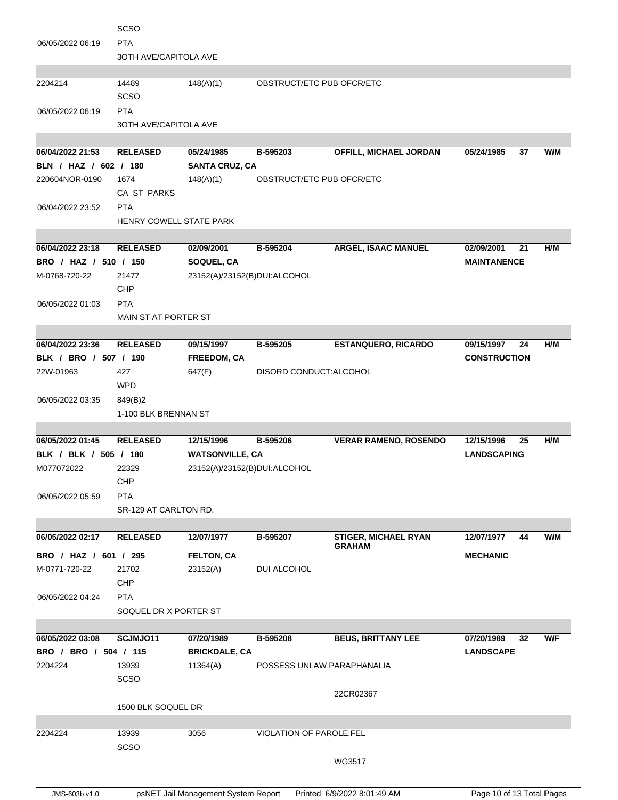|                                        | <b>SCSO</b>                    |                              |                                |                               |                     |     |
|----------------------------------------|--------------------------------|------------------------------|--------------------------------|-------------------------------|---------------------|-----|
| 06/05/2022 06:19                       | <b>PTA</b>                     |                              |                                |                               |                     |     |
|                                        | <b>3OTH AVE/CAPITOLA AVE</b>   |                              |                                |                               |                     |     |
|                                        |                                |                              |                                |                               |                     |     |
| 2204214                                | 14489<br><b>SCSO</b>           | 148(A)(1)                    | OBSTRUCT/ETC PUB OFCR/ETC      |                               |                     |     |
| 06/05/2022 06:19                       | <b>PTA</b>                     |                              |                                |                               |                     |     |
|                                        | 3OTH AVE/CAPITOLA AVE          |                              |                                |                               |                     |     |
|                                        |                                |                              |                                |                               |                     |     |
| 06/04/2022 21:53                       | <b>RELEASED</b>                | 05/24/1985                   | B-595203                       | <b>OFFILL, MICHAEL JORDAN</b> | 05/24/1985<br>37    | W/M |
| BLN / HAZ / 602 / 180                  |                                | <b>SANTA CRUZ, CA</b>        |                                |                               |                     |     |
| 220604NOR-0190                         | 1674                           | 148(A)(1)                    | OBSTRUCT/ETC PUB OFCR/ETC      |                               |                     |     |
|                                        | CA ST PARKS                    |                              |                                |                               |                     |     |
| 06/04/2022 23:52                       | <b>PTA</b>                     |                              |                                |                               |                     |     |
|                                        | <b>HENRY COWELL STATE PARK</b> |                              |                                |                               |                     |     |
|                                        |                                |                              |                                |                               |                     |     |
| 06/04/2022 23:18                       | <b>RELEASED</b>                | 02/09/2001                   | B-595204                       | ARGEL, ISAAC MANUEL           | 02/09/2001<br>21    | H/M |
| BRO / HAZ / 510 / 150                  |                                | SOQUEL, CA                   |                                |                               | <b>MAINTANENCE</b>  |     |
| M-0768-720-22                          | 21477<br>CHP                   | 23152(A)/23152(B)DUI:ALCOHOL |                                |                               |                     |     |
| 06/05/2022 01:03                       | <b>PTA</b>                     |                              |                                |                               |                     |     |
|                                        | MAIN ST AT PORTER ST           |                              |                                |                               |                     |     |
|                                        |                                |                              |                                |                               |                     |     |
| 06/04/2022 23:36                       | <b>RELEASED</b>                | 09/15/1997                   | B-595205                       | <b>ESTANQUERO, RICARDO</b>    | 09/15/1997<br>24    | H/M |
| BLK / BRO / 507 / 190                  |                                | FREEDOM, CA                  |                                |                               | <b>CONSTRUCTION</b> |     |
| 22W-01963                              | 427                            | 647(F)                       | DISORD CONDUCT: ALCOHOL        |                               |                     |     |
|                                        | <b>WPD</b>                     |                              |                                |                               |                     |     |
| 06/05/2022 03:35                       | 849(B)2                        |                              |                                |                               |                     |     |
|                                        | 1-100 BLK BRENNAN ST           |                              |                                |                               |                     |     |
|                                        |                                |                              |                                |                               |                     |     |
|                                        |                                |                              |                                |                               |                     |     |
| 06/05/2022 01:45                       | <b>RELEASED</b>                | 12/15/1996                   | B-595206                       | <b>VERAR RAMENO, ROSENDO</b>  | 12/15/1996<br>25    | H/M |
| BLK / BLK / 505 / 180                  |                                | <b>WATSONVILLE, CA</b>       |                                |                               | <b>LANDSCAPING</b>  |     |
| M077072022                             | 22329                          | 23152(A)/23152(B)DUI:ALCOHOL |                                |                               |                     |     |
|                                        | <b>CHP</b>                     |                              |                                |                               |                     |     |
| 06/05/2022 05:59                       | <b>PTA</b>                     |                              |                                |                               |                     |     |
|                                        | SR-129 AT CARLTON RD.          |                              |                                |                               |                     |     |
| 06/05/2022 02:17                       | <b>RELEASED</b>                | 12/07/1977                   | B-595207                       | <b>STIGER, MICHAEL RYAN</b>   | 12/07/1977<br>44    | W/M |
|                                        |                                |                              |                                | <b>GRAHAM</b>                 |                     |     |
| BRO / HAZ / 601 / 295<br>M-0771-720-22 | 21702                          | <b>FELTON, CA</b>            |                                |                               | <b>MECHANIC</b>     |     |
|                                        | <b>CHP</b>                     | 23152(A)                     | DUI ALCOHOL                    |                               |                     |     |
| 06/05/2022 04:24                       | <b>PTA</b>                     |                              |                                |                               |                     |     |
|                                        | SOQUEL DR X PORTER ST          |                              |                                |                               |                     |     |
|                                        |                                |                              |                                |                               |                     |     |
| 06/05/2022 03:08                       | SCJMJO11                       | 07/20/1989                   | B-595208                       | <b>BEUS, BRITTANY LEE</b>     | 07/20/1989<br>32    | W/F |
| BRO / BRO / 504 / 115                  |                                | <b>BRICKDALE, CA</b>         |                                |                               | <b>LANDSCAPE</b>    |     |
| 2204224                                | 13939                          | 11364(A)                     | POSSESS UNLAW PARAPHANALIA     |                               |                     |     |
|                                        | <b>SCSO</b>                    |                              |                                |                               |                     |     |
|                                        |                                |                              |                                | 22CR02367                     |                     |     |
|                                        | 1500 BLK SOQUEL DR             |                              |                                |                               |                     |     |
|                                        |                                |                              |                                |                               |                     |     |
| 2204224                                | 13939<br>SCSO                  | 3056                         | <b>VIOLATION OF PAROLE:FEL</b> |                               |                     |     |
|                                        |                                |                              |                                | WG3517                        |                     |     |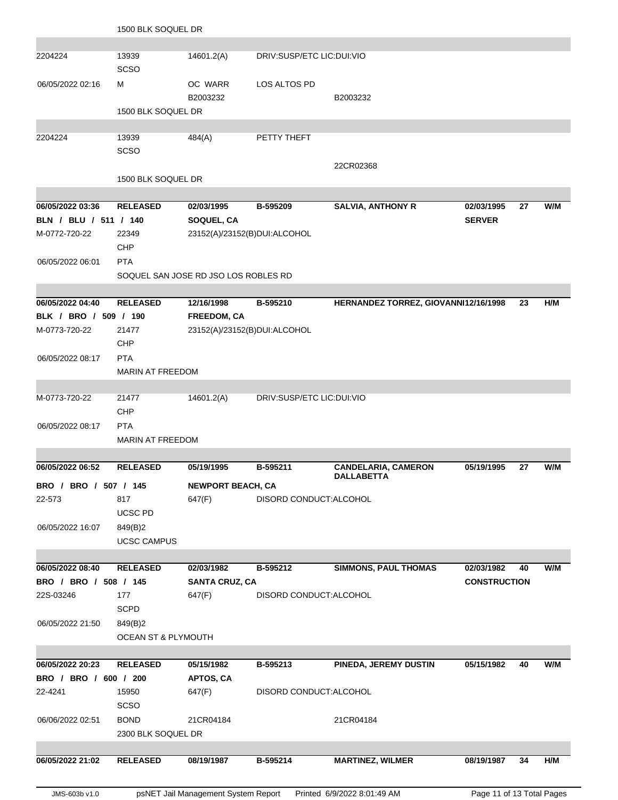|                                        | 1500 BLK SOQUEL DR             |                                            |                           |                                                 |                     |    |     |
|----------------------------------------|--------------------------------|--------------------------------------------|---------------------------|-------------------------------------------------|---------------------|----|-----|
|                                        |                                |                                            |                           |                                                 |                     |    |     |
| 2204224                                | 13939<br><b>SCSO</b>           | 14601.2(A)                                 | DRIV:SUSP/ETC LIC:DUI:VIO |                                                 |                     |    |     |
| 06/05/2022 02:16                       | м                              | OC WARR<br>B2003232                        | LOS ALTOS PD              | B2003232                                        |                     |    |     |
|                                        | 1500 BLK SOQUEL DR             |                                            |                           |                                                 |                     |    |     |
| 2204224                                | 13939                          | 484(A)                                     | PETTY THEFT               |                                                 |                     |    |     |
|                                        | <b>SCSO</b>                    |                                            |                           |                                                 |                     |    |     |
|                                        |                                |                                            |                           | 22CR02368                                       |                     |    |     |
|                                        | 1500 BLK SOQUEL DR             |                                            |                           |                                                 |                     |    |     |
|                                        |                                |                                            |                           |                                                 |                     |    |     |
| 06/05/2022 03:36                       | <b>RELEASED</b>                | 02/03/1995                                 | B-595209                  | <b>SALVIA, ANTHONY R</b>                        | 02/03/1995          | 27 | W/M |
| BLN / BLU / 511 / 140<br>M-0772-720-22 | 22349                          | SOQUEL, CA<br>23152(A)/23152(B)DUI:ALCOHOL |                           |                                                 | <b>SERVER</b>       |    |     |
|                                        | <b>CHP</b>                     |                                            |                           |                                                 |                     |    |     |
| 06/05/2022 06:01                       | <b>PTA</b>                     |                                            |                           |                                                 |                     |    |     |
|                                        |                                | SOQUEL SAN JOSE RD JSO LOS ROBLES RD       |                           |                                                 |                     |    |     |
|                                        |                                |                                            |                           |                                                 |                     |    |     |
| 06/05/2022 04:40                       | <b>RELEASED</b>                | 12/16/1998                                 | B-595210                  | HERNANDEZ TORREZ, GIOVANNI12/16/1998            |                     | 23 | H/M |
| BLK / BRO / 509 / 190                  |                                | FREEDOM, CA                                |                           |                                                 |                     |    |     |
| M-0773-720-22                          | 21477                          | 23152(A)/23152(B)DUI:ALCOHOL               |                           |                                                 |                     |    |     |
|                                        | CHP                            |                                            |                           |                                                 |                     |    |     |
| 06/05/2022 08:17                       | <b>PTA</b>                     |                                            |                           |                                                 |                     |    |     |
|                                        | <b>MARIN AT FREEDOM</b>        |                                            |                           |                                                 |                     |    |     |
| M-0773-720-22                          | 21477                          | 14601.2(A)                                 | DRIV:SUSP/ETC LIC:DUI:VIO |                                                 |                     |    |     |
|                                        | <b>CHP</b>                     |                                            |                           |                                                 |                     |    |     |
| 06/05/2022 08:17                       | <b>PTA</b>                     |                                            |                           |                                                 |                     |    |     |
|                                        | <b>MARIN AT FREEDOM</b>        |                                            |                           |                                                 |                     |    |     |
|                                        |                                |                                            |                           |                                                 |                     |    |     |
| 06/05/2022 06:52                       | <b>RELEASED</b>                | 05/19/1995                                 | B-595211                  | <b>CANDELARIA, CAMERON</b><br><b>DALLABETTA</b> | 05/19/1995          | 27 | W/M |
| BRO / BRO / 507 / 145                  |                                | <b>NEWPORT BEACH, CA</b>                   |                           |                                                 |                     |    |     |
| 22-573                                 | 817                            | 647(F)                                     | DISORD CONDUCT:ALCOHOL    |                                                 |                     |    |     |
|                                        | <b>UCSC PD</b>                 |                                            |                           |                                                 |                     |    |     |
| 06/05/2022 16:07                       | 849(B)2                        |                                            |                           |                                                 |                     |    |     |
|                                        | <b>UCSC CAMPUS</b>             |                                            |                           |                                                 |                     |    |     |
| 06/05/2022 08:40                       | <b>RELEASED</b>                | 02/03/1982                                 | B-595212                  | <b>SIMMONS, PAUL THOMAS</b>                     | 02/03/1982          | 40 | W/M |
| BRO / BRO / 508 / 145                  |                                | <b>SANTA CRUZ, CA</b>                      |                           |                                                 | <b>CONSTRUCTION</b> |    |     |
| 22S-03246                              | 177                            | 647(F)                                     | DISORD CONDUCT: ALCOHOL   |                                                 |                     |    |     |
|                                        | <b>SCPD</b>                    |                                            |                           |                                                 |                     |    |     |
| 06/05/2022 21:50                       | 849(B)2                        |                                            |                           |                                                 |                     |    |     |
|                                        | <b>OCEAN ST &amp; PLYMOUTH</b> |                                            |                           |                                                 |                     |    |     |
|                                        |                                |                                            |                           |                                                 |                     |    |     |
| 06/05/2022 20:23                       | <b>RELEASED</b>                | 05/15/1982                                 | B-595213                  | PINEDA, JEREMY DUSTIN                           | 05/15/1982          | 40 | W/M |
| BRO / BRO / 600 / 200<br>22-4241       | 15950                          | APTOS, CA                                  | DISORD CONDUCT: ALCOHOL   |                                                 |                     |    |     |
|                                        | <b>SCSO</b>                    | 647(F)                                     |                           |                                                 |                     |    |     |
| 06/06/2022 02:51                       | <b>BOND</b>                    | 21CR04184                                  |                           | 21CR04184                                       |                     |    |     |
|                                        | 2300 BLK SOQUEL DR             |                                            |                           |                                                 |                     |    |     |
|                                        |                                |                                            |                           |                                                 |                     |    |     |
| 06/05/2022 21:02                       | <b>RELEASED</b>                | 08/19/1987                                 | B-595214                  | <b>MARTINEZ, WILMER</b>                         | 08/19/1987          | 34 | H/M |
|                                        |                                |                                            |                           |                                                 |                     |    |     |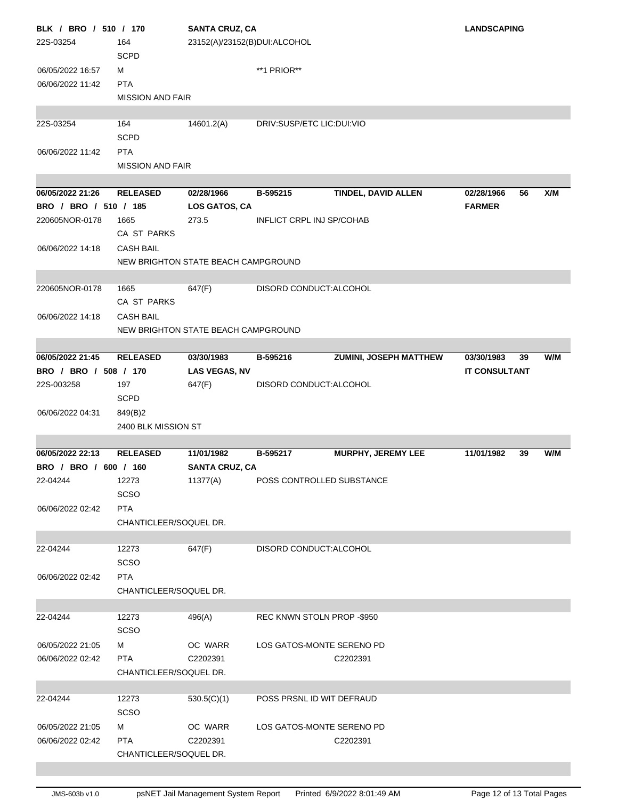| BLK / BRO / 510 / 170 |                         | <b>SANTA CRUZ, CA</b>               | <b>LANDSCAPING</b>                 |                      |     |
|-----------------------|-------------------------|-------------------------------------|------------------------------------|----------------------|-----|
| 22S-03254             | 164                     | 23152(A)/23152(B)DUI:ALCOHOL        |                                    |                      |     |
|                       | <b>SCPD</b>             |                                     |                                    |                      |     |
| 06/05/2022 16:57      | м                       |                                     | **1 PRIOR**                        |                      |     |
| 06/06/2022 11:42      | <b>PTA</b>              |                                     |                                    |                      |     |
|                       | <b>MISSION AND FAIR</b> |                                     |                                    |                      |     |
|                       |                         |                                     |                                    |                      |     |
| 22S-03254             | 164                     | 14601.2(A)                          | DRIV:SUSP/ETC LIC:DUI:VIO          |                      |     |
|                       | <b>SCPD</b>             |                                     |                                    |                      |     |
| 06/06/2022 11:42      | <b>PTA</b>              |                                     |                                    |                      |     |
|                       | <b>MISSION AND FAIR</b> |                                     |                                    |                      |     |
|                       |                         |                                     |                                    |                      |     |
| 06/05/2022 21:26      | <b>RELEASED</b>         | 02/28/1966                          | TINDEL, DAVID ALLEN<br>B-595215    | 02/28/1966<br>56     | X/M |
| BRO / BRO / 510 / 185 |                         | LOS GATOS, CA                       |                                    | <b>FARMER</b>        |     |
| 220605NOR-0178        | 1665                    | 273.5                               | <b>INFLICT CRPL INJ SP/COHAB</b>   |                      |     |
|                       | CA ST PARKS             |                                     |                                    |                      |     |
| 06/06/2022 14:18      | <b>CASH BAIL</b>        |                                     |                                    |                      |     |
|                       |                         | NEW BRIGHTON STATE BEACH CAMPGROUND |                                    |                      |     |
|                       |                         |                                     |                                    |                      |     |
| 220605NOR-0178        | 1665                    | 647(F)                              | DISORD CONDUCT: ALCOHOL            |                      |     |
|                       | CA ST PARKS             |                                     |                                    |                      |     |
| 06/06/2022 14:18      | <b>CASH BAIL</b>        |                                     |                                    |                      |     |
|                       |                         | NEW BRIGHTON STATE BEACH CAMPGROUND |                                    |                      |     |
|                       |                         |                                     |                                    |                      |     |
| 06/05/2022 21:45      | <b>RELEASED</b>         | 03/30/1983                          | ZUMINI, JOSEPH MATTHEW<br>B-595216 | 03/30/1983<br>39     | W/M |
| BRO / BRO / 508 / 170 |                         | <b>LAS VEGAS, NV</b>                |                                    | <b>IT CONSULTANT</b> |     |
| 22S-003258            | 197                     | 647(F)                              | DISORD CONDUCT: ALCOHOL            |                      |     |
|                       | <b>SCPD</b>             |                                     |                                    |                      |     |
| 06/06/2022 04:31      | 849(B)2                 |                                     |                                    |                      |     |
|                       | 2400 BLK MISSION ST     |                                     |                                    |                      |     |
|                       |                         |                                     |                                    |                      |     |
| 06/05/2022 22:13      | <b>RELEASED</b>         | 11/01/1982                          | MURPHY, JEREMY LEE<br>B-595217     | 11/01/1982<br>39     | W/M |
| BRO / BRO / 600 / 160 |                         | <b>SANTA CRUZ, CA</b>               |                                    |                      |     |
| 22-04244              | 12273                   | 11377(A)                            | POSS CONTROLLED SUBSTANCE          |                      |     |
|                       | <b>SCSO</b>             |                                     |                                    |                      |     |
| 06/06/2022 02:42      | <b>PTA</b>              |                                     |                                    |                      |     |
|                       | CHANTICLEER/SOQUEL DR.  |                                     |                                    |                      |     |
|                       |                         |                                     |                                    |                      |     |
| 22-04244              | 12273                   | 647(F)                              | DISORD CONDUCT: ALCOHOL            |                      |     |
|                       | SCSO                    |                                     |                                    |                      |     |
| 06/06/2022 02:42      | <b>PTA</b>              |                                     |                                    |                      |     |
|                       | CHANTICLEER/SOQUEL DR.  |                                     |                                    |                      |     |
|                       |                         |                                     |                                    |                      |     |
| 22-04244              | 12273                   | 496(A)                              | REC KNWN STOLN PROP -\$950         |                      |     |
|                       | <b>SCSO</b>             |                                     |                                    |                      |     |
| 06/05/2022 21:05      | м                       | OC WARR                             | LOS GATOS-MONTE SERENO PD          |                      |     |
| 06/06/2022 02:42      | <b>PTA</b>              | C2202391                            | C2202391                           |                      |     |
|                       | CHANTICLEER/SOQUEL DR.  |                                     |                                    |                      |     |
|                       |                         |                                     |                                    |                      |     |
| 22-04244              | 12273                   | 530.5(C)(1)                         | POSS PRSNL ID WIT DEFRAUD          |                      |     |
|                       | SCSO                    |                                     |                                    |                      |     |
| 06/05/2022 21:05      | м                       | OC WARR                             | LOS GATOS-MONTE SERENO PD          |                      |     |
| 06/06/2022 02:42      | <b>PTA</b>              | C2202391                            | C2202391                           |                      |     |
|                       | CHANTICLEER/SOQUEL DR.  |                                     |                                    |                      |     |
|                       |                         |                                     |                                    |                      |     |